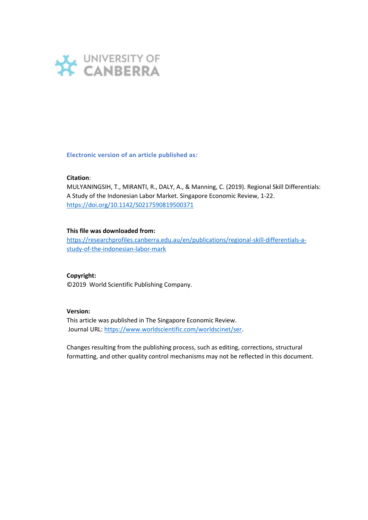

**Electronic version of an article published as:**

#### **Citation**:

MULYANINGSIH, T., MIRANTI, R., DALY, A., & Manning, C. (2019). Regional Skill Differentials: A Study of the Indonesian Labor Market. Singapore Economic Review, 1-22. <https://doi.org/10.1142/S0217590819500371>

### **This file was downloaded from:**

[https://researchprofiles.canberra.edu.au/en/publications/regional-skill-differentials-a](https://researchprofiles.canberra.edu.au/en/publications/regional-skill-differentials-a-study-of-the-indonesian-labor-mark)[study-of-the-indonesian-labor-mark](https://researchprofiles.canberra.edu.au/en/publications/regional-skill-differentials-a-study-of-the-indonesian-labor-mark)

### **Copyright:**

©2019 World Scientific Publishing Company.

#### **Version:**

This article was published in The Singapore Economic Review. Journal URL[: https://www.worldscientific.com/worldscinet/ser.](https://www.worldscientific.com/worldscinet/ser)

Changes resulting from the publishing process, such as editing, corrections, structural formatting, and other quality control mechanisms may not be reflected in this document.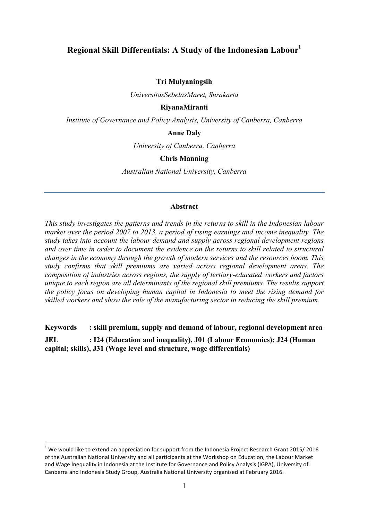# **Regional Skill Differentials: A Study of the Indonesian Labour1**

### **Tri Mulyaningsih**

*UniversitasSebelasMaret, Surakarta*

### **RiyanaMiranti**

*Institute of Governance and Policy Analysis, University of Canberra, Canberra*

### **Anne Daly**

*University of Canberra, Canberra*

### **Chris Manning**

*Australian National University, Canberra*

### **Abstract**

*This study investigates the patterns and trends in the returns to skill in the Indonesian labour market over the period 2007 to 2013, a period of rising earnings and income inequality. The study takes into account the labour demand and supply across regional development regions and over time in order to document the evidence on the returns to skill related to structural changes in the economy through the growth of modern services and the resources boom. This study confirms that skill premiums are varied across regional development areas. The composition of industries across regions, the supply of tertiary-educated workers and factors unique to each region are all determinants of the regional skill premiums. The results support the policy focus on developing human capital in Indonesia to meet the rising demand for skilled workers and show the role of the manufacturing sector in reducing the skill premium.*

**Keywords : skill premium, supply and demand of labour, regional development area**

**JEL : I24 (Education and inequality), J01 (Labour Economics); J24 (Human capital; skills), J31 (Wage level and structure, wage differentials)**

 $1$  We would like to extend an appreciation for support from the Indonesia Project Research Grant 2015/ 2016 of the Australian National University and all participants at the Workshop on Education, the Labour Market and Wage Inequality in Indonesia at the Institute for Governance and Policy Analysis (IGPA), University of Canberra and Indonesia Study Group, Australia National University organised at February 2016.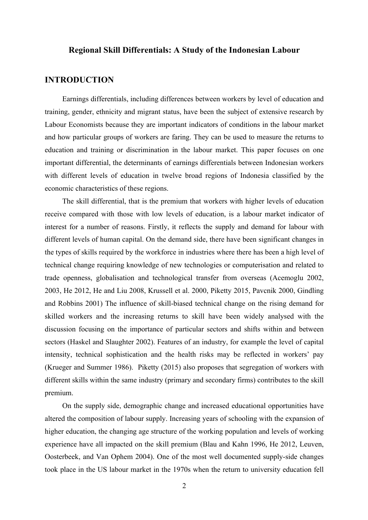# **Regional Skill Differentials: A Study of the Indonesian Labour**

## **INTRODUCTION**

Earnings differentials, including differences between workers by level of education and training, gender, ethnicity and migrant status, have been the subject of extensive research by Labour Economists because they are important indicators of conditions in the labour market and how particular groups of workers are faring. They can be used to measure the returns to education and training or discrimination in the labour market. This paper focuses on one important differential, the determinants of earnings differentials between Indonesian workers with different levels of education in twelve broad regions of Indonesia classified by the economic characteristics of these regions.

The skill differential, that is the premium that workers with higher levels of education receive compared with those with low levels of education, is a labour market indicator of interest for a number of reasons. Firstly, it reflects the supply and demand for labour with different levels of human capital. On the demand side, there have been significant changes in the types of skills required by the workforce in industries where there has been a high level of technical change requiring knowledge of new technologies or computerisation and related to trade openness, globalisation and technological transfer from overseas (Acemoglu 2002, 2003, He 2012, He and Liu 2008, Krussell et al. 2000, Piketty 2015, Pavcnik 2000, Gindling and Robbins 2001) The influence of skill-biased technical change on the rising demand for skilled workers and the increasing returns to skill have been widely analysed with the discussion focusing on the importance of particular sectors and shifts within and between sectors (Haskel and Slaughter 2002). Features of an industry, for example the level of capital intensity, technical sophistication and the health risks may be reflected in workers' pay (Krueger and Summer 1986). Piketty (2015) also proposes that segregation of workers with different skills within the same industry (primary and secondary firms) contributes to the skill premium.

On the supply side, demographic change and increased educational opportunities have altered the composition of labour supply. Increasing years of schooling with the expansion of higher education, the changing age structure of the working population and levels of working experience have all impacted on the skill premium (Blau and Kahn 1996, He 2012, Leuven, Oosterbeek, and Van Ophem 2004). One of the most well documented supply-side changes took place in the US labour market in the 1970s when the return to university education fell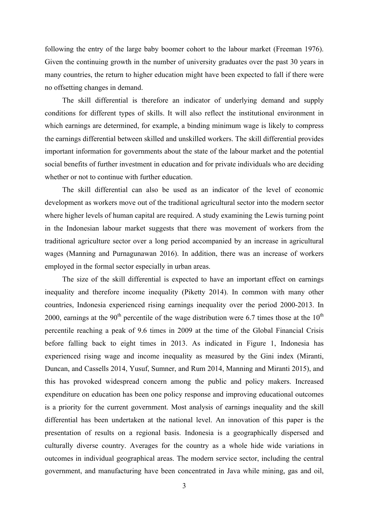following the entry of the large baby boomer cohort to the labour market (Freeman 1976). Given the continuing growth in the number of university graduates over the past 30 years in many countries, the return to higher education might have been expected to fall if there were no offsetting changes in demand.

The skill differential is therefore an indicator of underlying demand and supply conditions for different types of skills. It will also reflect the institutional environment in which earnings are determined, for example, a binding minimum wage is likely to compress the earnings differential between skilled and unskilled workers. The skill differential provides important information for governments about the state of the labour market and the potential social benefits of further investment in education and for private individuals who are deciding whether or not to continue with further education.

The skill differential can also be used as an indicator of the level of economic development as workers move out of the traditional agricultural sector into the modern sector where higher levels of human capital are required. A study examining the Lewis turning point in the Indonesian labour market suggests that there was movement of workers from the traditional agriculture sector over a long period accompanied by an increase in agricultural wages (Manning and Purnagunawan 2016). In addition, there was an increase of workers employed in the formal sector especially in urban areas.

The size of the skill differential is expected to have an important effect on earnings inequality and therefore income inequality (Piketty 2014). In common with many other countries, Indonesia experienced rising earnings inequality over the period 2000-2013. In 2000, earnings at the 90<sup>th</sup> percentile of the wage distribution were 6.7 times those at the 10<sup>th</sup> percentile reaching a peak of 9.6 times in 2009 at the time of the Global Financial Crisis before falling back to eight times in 2013. As indicated in Figure 1, Indonesia has experienced rising wage and income inequality as measured by the Gini index (Miranti, Duncan, and Cassells 2014, Yusuf, Sumner, and Rum 2014, Manning and Miranti 2015), and this has provoked widespread concern among the public and policy makers. Increased expenditure on education has been one policy response and improving educational outcomes is a priority for the current government. Most analysis of earnings inequality and the skill differential has been undertaken at the national level. An innovation of this paper is the presentation of results on a regional basis. Indonesia is a geographically dispersed and culturally diverse country. Averages for the country as a whole hide wide variations in outcomes in individual geographical areas. The modern service sector, including the central government, and manufacturing have been concentrated in Java while mining, gas and oil,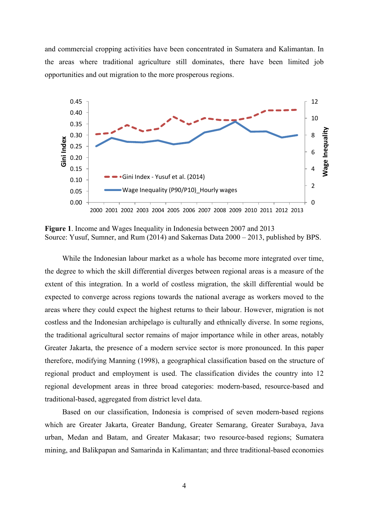and commercial cropping activities have been concentrated in Sumatera and Kalimantan. In the areas where traditional agriculture still dominates, there have been limited job opportunities and out migration to the more prosperous regions.



**Figure 1**. Income and Wages Inequality in Indonesia between 2007 and 2013 Source: Yusuf, Sumner, and Rum (2014) and Sakernas Data 2000 – 2013, published by BPS.

While the Indonesian labour market as a whole has become more integrated over time, the degree to which the skill differential diverges between regional areas is a measure of the extent of this integration. In a world of costless migration, the skill differential would be expected to converge across regions towards the national average as workers moved to the areas where they could expect the highest returns to their labour. However, migration is not costless and the Indonesian archipelago is culturally and ethnically diverse. In some regions, the traditional agricultural sector remains of major importance while in other areas, notably Greater Jakarta, the presence of a modern service sector is more pronounced. In this paper therefore, modifying Manning (1998), a geographical classification based on the structure of regional product and employment is used. The classification divides the country into 12 regional development areas in three broad categories: modern-based, resource-based and traditional-based, aggregated from district level data.

Based on our classification, Indonesia is comprised of seven modern-based regions which are Greater Jakarta, Greater Bandung, Greater Semarang, Greater Surabaya, Java urban, Medan and Batam, and Greater Makasar; two resource-based regions; Sumatera mining, and Balikpapan and Samarinda in Kalimantan; and three traditional-based economies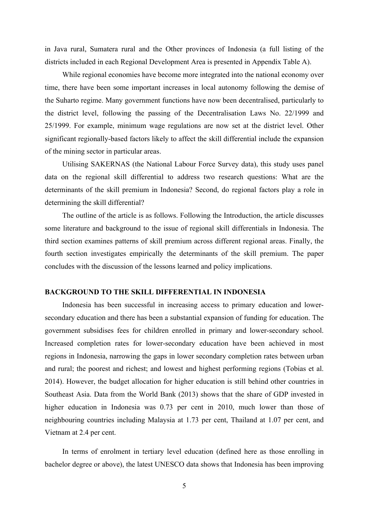in Java rural, Sumatera rural and the Other provinces of Indonesia (a full listing of the districts included in each Regional Development Area is presented in Appendix Table A).

While regional economies have become more integrated into the national economy over time, there have been some important increases in local autonomy following the demise of the Suharto regime. Many government functions have now been decentralised, particularly to the district level, following the passing of the Decentralisation Laws No. 22/1999 and 25/1999. For example, minimum wage regulations are now set at the district level. Other significant regionally-based factors likely to affect the skill differential include the expansion of the mining sector in particular areas.

Utilising SAKERNAS (the National Labour Force Survey data), this study uses panel data on the regional skill differential to address two research questions: What are the determinants of the skill premium in Indonesia? Second, do regional factors play a role in determining the skill differential?

The outline of the article is as follows. Following the Introduction, the article discusses some literature and background to the issue of regional skill differentials in Indonesia. The third section examines patterns of skill premium across different regional areas. Finally, the fourth section investigates empirically the determinants of the skill premium. The paper concludes with the discussion of the lessons learned and policy implications.

### **BACKGROUND TO THE SKILL DIFFERENTIAL IN INDONESIA**

Indonesia has been successful in increasing access to primary education and lowersecondary education and there has been a substantial expansion of funding for education. The government subsidises fees for children enrolled in primary and lower-secondary school. Increased completion rates for lower-secondary education have been achieved in most regions in Indonesia, narrowing the gaps in lower secondary completion rates between urban and rural; the poorest and richest; and lowest and highest performing regions (Tobias et al. 2014). However, the budget allocation for higher education is still behind other countries in Southeast Asia. Data from the World Bank (2013) shows that the share of GDP invested in higher education in Indonesia was 0.73 per cent in 2010, much lower than those of neighbouring countries including Malaysia at 1.73 per cent, Thailand at 1.07 per cent, and Vietnam at 2.4 per cent.

In terms of enrolment in tertiary level education (defined here as those enrolling in bachelor degree or above), the latest UNESCO data shows that Indonesia has been improving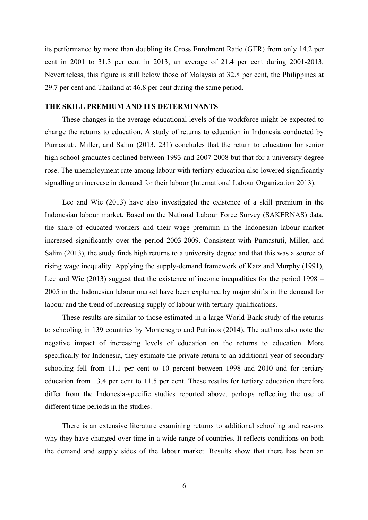its performance by more than doubling its Gross Enrolment Ratio (GER) from only 14.2 per cent in 2001 to 31.3 per cent in 2013, an average of 21.4 per cent during 2001-2013. Nevertheless, this figure is still below those of Malaysia at 32.8 per cent, the Philippines at 29.7 per cent and Thailand at 46.8 per cent during the same period.

### **THE SKILL PREMIUM AND ITS DETERMINANTS**

These changes in the average educational levels of the workforce might be expected to change the returns to education. A study of returns to education in Indonesia conducted by Purnastuti, Miller, and Salim (2013, 231) concludes that the return to education for senior high school graduates declined between 1993 and 2007-2008 but that for a university degree rose. The unemployment rate among labour with tertiary education also lowered significantly signalling an increase in demand for their labour (International Labour Organization 2013).

Lee and Wie (2013) have also investigated the existence of a skill premium in the Indonesian labour market. Based on the National Labour Force Survey (SAKERNAS) data, the share of educated workers and their wage premium in the Indonesian labour market increased significantly over the period 2003-2009. Consistent with Purnastuti, Miller, and Salim (2013), the study finds high returns to a university degree and that this was a source of rising wage inequality. Applying the supply-demand framework of Katz and Murphy (1991), Lee and Wie (2013) suggest that the existence of income inequalities for the period 1998 – 2005 in the Indonesian labour market have been explained by major shifts in the demand for labour and the trend of increasing supply of labour with tertiary qualifications.

These results are similar to those estimated in a large World Bank study of the returns to schooling in 139 countries by Montenegro and Patrinos (2014). The authors also note the negative impact of increasing levels of education on the returns to education. More specifically for Indonesia, they estimate the private return to an additional year of secondary schooling fell from 11.1 per cent to 10 percent between 1998 and 2010 and for tertiary education from 13.4 per cent to 11.5 per cent. These results for tertiary education therefore differ from the Indonesia-specific studies reported above, perhaps reflecting the use of different time periods in the studies.

There is an extensive literature examining returns to additional schooling and reasons why they have changed over time in a wide range of countries. It reflects conditions on both the demand and supply sides of the labour market. Results show that there has been an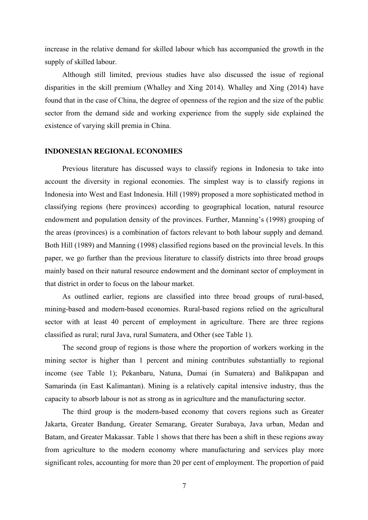increase in the relative demand for skilled labour which has accompanied the growth in the supply of skilled labour.

Although still limited, previous studies have also discussed the issue of regional disparities in the skill premium (Whalley and Xing 2014). Whalley and Xing (2014) have found that in the case of China, the degree of openness of the region and the size of the public sector from the demand side and working experience from the supply side explained the existence of varying skill premia in China.

### **INDONESIAN REGIONAL ECONOMIES**

Previous literature has discussed ways to classify regions in Indonesia to take into account the diversity in regional economies. The simplest way is to classify regions in Indonesia into West and East Indonesia. Hill (1989) proposed a more sophisticated method in classifying regions (here provinces) according to geographical location, natural resource endowment and population density of the provinces. Further, Manning's (1998) grouping of the areas (provinces) is a combination of factors relevant to both labour supply and demand. Both Hill (1989) and Manning (1998) classified regions based on the provincial levels. In this paper, we go further than the previous literature to classify districts into three broad groups mainly based on their natural resource endowment and the dominant sector of employment in that district in order to focus on the labour market.

As outlined earlier, regions are classified into three broad groups of rural-based, mining-based and modern-based economies. Rural-based regions relied on the agricultural sector with at least 40 percent of employment in agriculture. There are three regions classified as rural; rural Java, rural Sumatera, and Other (see Table 1).

The second group of regions is those where the proportion of workers working in the mining sector is higher than 1 percent and mining contributes substantially to regional income (see Table 1); Pekanbaru, Natuna, Dumai (in Sumatera) and Balikpapan and Samarinda (in East Kalimantan). Mining is a relatively capital intensive industry, thus the capacity to absorb labour is not as strong as in agriculture and the manufacturing sector.

The third group is the modern-based economy that covers regions such as Greater Jakarta, Greater Bandung, Greater Semarang, Greater Surabaya, Java urban, Medan and Batam, and Greater Makassar. Table 1 shows that there has been a shift in these regions away from agriculture to the modern economy where manufacturing and services play more significant roles, accounting for more than 20 per cent of employment. The proportion of paid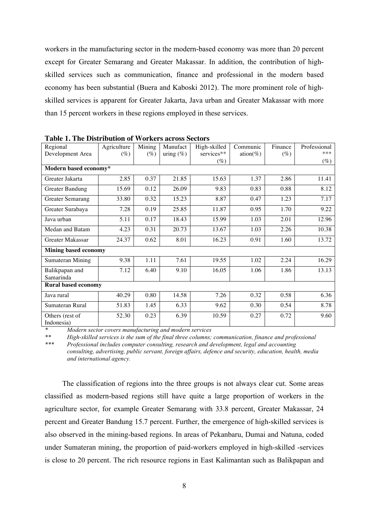workers in the manufacturing sector in the modern-based economy was more than 20 percent except for Greater Semarang and Greater Makassar. In addition, the contribution of highskilled services such as communication, finance and professional in the modern based economy has been substantial (Buera and Kaboski 2012). The more prominent role of highskilled services is apparent for Greater Jakarta, Java urban and Greater Makassar with more than 15 percent workers in these regions employed in these services.

| Regional                      | Agriculture | Mining | Manufact     | High-skilled | Communic | Finance | Professional |
|-------------------------------|-------------|--------|--------------|--------------|----------|---------|--------------|
| Development Area              | $(\%)$      | $(\%)$ | uring $(\%)$ | services**   | ation(%) | $(\%)$  | ***          |
|                               |             |        |              | $(\%)$       |          |         | $(\%)$       |
| Modern based economy*         |             |        |              |              |          |         |              |
| Greater Jakarta               | 2.85        | 0.37   | 21.85        | 15.63        | 1.37     | 2.86    | 11.41        |
| Greater Bandung               | 15.69       | 0.12   | 26.09        | 9.83         | 0.83     | 0.88    | 8.12         |
| <b>Greater Semarang</b>       | 33.80       | 0.32   | 15.23        | 8.87         | 0.47     | 1.23    | 7.17         |
| Greater Surabaya              | 7.28        | 0.19   | 25.85        | 11.87        | 0.95     | 1.70    | 9.22         |
| Java urban                    | 5.11        | 0.17   | 18.43        | 15.99        | 1.03     | 2.01    | 12.96        |
| Medan and Batam               | 4.23        | 0.31   | 20.73        | 13.67        | 1.03     | 2.26    | 10.38        |
| Greater Makassar              | 24.37       | 0.62   | 8.01         | 16.23        | 0.91     | 1.60    | 13.72        |
| <b>Mining based economy</b>   |             |        |              |              |          |         |              |
| Sumateran Mining              | 9.38        | 1.11   | 7.61         | 19.55        | 1.02     | 2.24    | 16.29        |
| Balikpapan and                | 7.12        | 6.40   | 9.10         | 16.05        | 1.06     | 1.86    | 13.13        |
| Samarinda                     |             |        |              |              |          |         |              |
| <b>Rural based economy</b>    |             |        |              |              |          |         |              |
| Java rural                    | 40.29       | 0.80   | 14.58        | 7.26         | 0.32     | 0.58    | 6.36         |
| Sumateran Rural               | 51.83       | 1.45   | 6.33         | 9.62         | 0.30     | 0.54    | 8.78         |
| Others (rest of<br>Indonesia) | 52.30       | 0.23   | 6.39         | 10.59        | 0.27     | 0.72    | 9.60         |

**Table 1. The Distribution of Workers across Sectors**

*\* Modern sector covers manufacturing and modern services*

*\*\* High-skilled services is the sum of the final three columns; communication, finance and professional*

*\*\*\* Professional includes computer consulting, research and development, legal and accounting consulting, advertising, public servant, foreign affairs, defence and security, education, health, media and international agency.*

The classification of regions into the three groups is not always clear cut. Some areas classified as modern-based regions still have quite a large proportion of workers in the agriculture sector, for example Greater Semarang with 33.8 percent, Greater Makassar, 24 percent and Greater Bandung 15.7 percent. Further, the emergence of high-skilled services is also observed in the mining-based regions. In areas of Pekanbaru, Dumai and Natuna, coded under Sumateran mining, the proportion of paid-workers employed in high-skilled -services is close to 20 percent. The rich resource regions in East Kalimantan such as Balikpapan and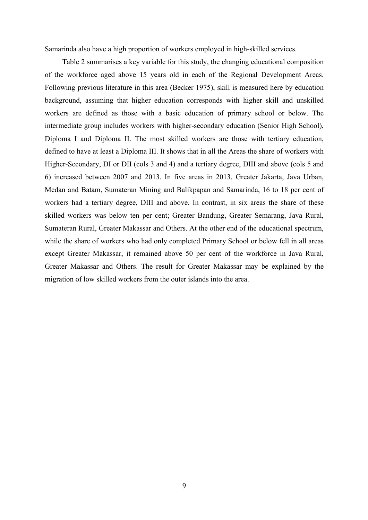Samarinda also have a high proportion of workers employed in high-skilled services.

Table 2 summarises a key variable for this study, the changing educational composition of the workforce aged above 15 years old in each of the Regional Development Areas. Following previous literature in this area (Becker 1975), skill is measured here by education background, assuming that higher education corresponds with higher skill and unskilled workers are defined as those with a basic education of primary school or below. The intermediate group includes workers with higher-secondary education (Senior High School), Diploma I and Diploma II. The most skilled workers are those with tertiary education, defined to have at least a Diploma III. It shows that in all the Areas the share of workers with Higher-Secondary, DI or DII (cols 3 and 4) and a tertiary degree, DIII and above (cols 5 and 6) increased between 2007 and 2013. In five areas in 2013, Greater Jakarta, Java Urban, Medan and Batam, Sumateran Mining and Balikpapan and Samarinda, 16 to 18 per cent of workers had a tertiary degree, DIII and above. In contrast, in six areas the share of these skilled workers was below ten per cent; Greater Bandung, Greater Semarang, Java Rural, Sumateran Rural, Greater Makassar and Others. At the other end of the educational spectrum, while the share of workers who had only completed Primary School or below fell in all areas except Greater Makassar, it remained above 50 per cent of the workforce in Java Rural, Greater Makassar and Others. The result for Greater Makassar may be explained by the migration of low skilled workers from the outer islands into the area.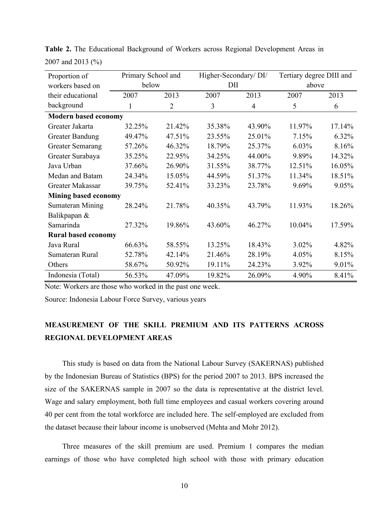| Proportion of               | Primary School and |                |        | Higher-Secondary/DI/ |        | Tertiary degree DIII and |  |
|-----------------------------|--------------------|----------------|--------|----------------------|--------|--------------------------|--|
| workers based on            | below              |                |        | DII                  |        | above                    |  |
| their educational           | 2007               | 2013           | 2007   | 2013                 | 2007   | 2013                     |  |
| background                  | 1                  | $\overline{2}$ | 3      | $\overline{4}$       | 5      | 6                        |  |
| <b>Modern based economy</b> |                    |                |        |                      |        |                          |  |
| Greater Jakarta             | 32.25%             | 21.42%         | 35.38% | 43.90%               | 11.97% | 17.14%                   |  |
| <b>Greater Bandung</b>      | 49.47%             | 47.51%         | 23.55% | 25.01%               | 7.15%  | 6.32%                    |  |
| <b>Greater Semarang</b>     | 57.26%             | 46.32%         | 18.79% | 25.37%               | 6.03%  | 8.16%                    |  |
| Greater Surabaya            | 35.25%             | 22.95%         | 34.25% | 44.00%               | 9.89%  | 14.32%                   |  |
| Java Urban                  | 37.66%             | 26.90%         | 31.55% | 38.77%               | 12.51% | 16.05%                   |  |
| Medan and Batam             | 24.34%             | 15.05%         | 44.59% | 51.37%               | 11.34% | 18.51%                   |  |
| Greater Makassar            | 39.75%             | 52.41%         | 33.23% | 23.78%               | 9.69%  | 9.05%                    |  |
| Mining based economy        |                    |                |        |                      |        |                          |  |
| Sumateran Mining            | 28.24%             | 21.78%         | 40.35% | 43.79%               | 11.93% | 18.26%                   |  |
| Balikpapan &                |                    |                |        |                      |        |                          |  |
| Samarinda                   | 27.32%             | 19.86%         | 43.60% | 46.27%               | 10.04% | 17.59%                   |  |
| <b>Rural based economy</b>  |                    |                |        |                      |        |                          |  |
| Java Rural                  | 66.63%             | 58.55%         | 13.25% | 18.43%               | 3.02%  | 4.82%                    |  |
| Sumateran Rural             | 52.78%             | 42.14%         | 21.46% | 28.19%               | 4.05%  | 8.15%                    |  |
| Others                      | 58.67%             | 50.92%         | 19.11% | 24.23%               | 3.92%  | 9.01%                    |  |
| Indonesia (Total)           | 56.53%             | 47.09%         | 19.82% | 26.09%               | 4.90%  | 8.41%                    |  |

**Table 2.** The Educational Background of Workers across Regional Development Areas in 2007 and 2013 (%)

Note: Workers are those who worked in the past one week.

Source: Indonesia Labour Force Survey, various years

# **MEASUREMENT OF THE SKILL PREMIUM AND ITS PATTERNS ACROSS REGIONAL DEVELOPMENT AREAS**

This study is based on data from the National Labour Survey (SAKERNAS) published by the Indonesian Bureau of Statistics (BPS) for the period 2007 to 2013. BPS increased the size of the SAKERNAS sample in 2007 so the data is representative at the district level. Wage and salary employment, both full time employees and casual workers covering around 40 per cent from the total workforce are included here. The self-employed are excluded from the dataset because their labour income is unobserved (Mehta and Mohr 2012).

Three measures of the skill premium are used. Premium 1 compares the median earnings of those who have completed high school with those with primary education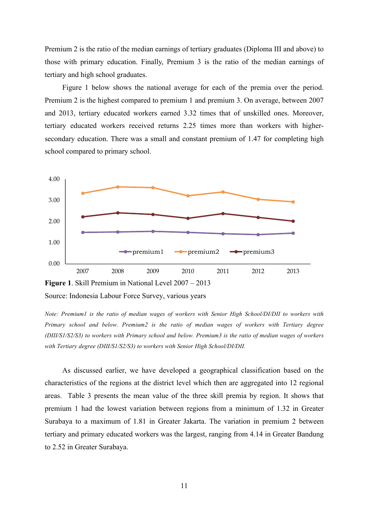Premium 2 is the ratio of the median earnings of tertiary graduates (Diploma III and above) to those with primary education. Finally, Premium 3 is the ratio of the median earnings of tertiary and high school graduates.

Figure 1 below shows the national average for each of the premia over the period. Premium 2 is the highest compared to premium 1 and premium 3. On average, between 2007 and 2013, tertiary educated workers earned 3.32 times that of unskilled ones. Moreover, tertiary educated workers received returns 2.25 times more than workers with highersecondary education. There was a small and constant premium of 1.47 for completing high school compared to primary school.



Source: Indonesia Labour Force Survey, various years

*Note: Premium1 is the ratio of median wages of workers with Senior High School/DI/DII to workers with Primary school and below. Premium2 is the ratio of median wages of workers with Tertiary degree (DIII/S1/S2/S3) to workers with Primary school and below. Premium3 is the ratio of median wages of workers with Tertiary degree (DIII/S1/S2/S3) to workers with Senior High School/DI/DII.*

As discussed earlier, we have developed a geographical classification based on the characteristics of the regions at the district level which then are aggregated into 12 regional areas. Table 3 presents the mean value of the three skill premia by region. It shows that premium 1 had the lowest variation between regions from a minimum of 1.32 in Greater Surabaya to a maximum of 1.81 in Greater Jakarta. The variation in premium 2 between tertiary and primary educated workers was the largest, ranging from 4.14 in Greater Bandung to 2.52 in Greater Surabaya.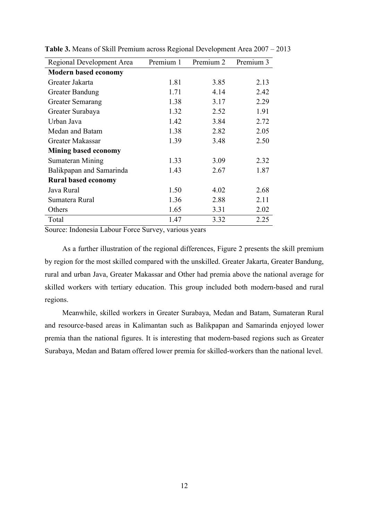| Regional Development Area   | Premium 1 | Premium 2 | Premium 3 |
|-----------------------------|-----------|-----------|-----------|
| <b>Modern based economy</b> |           |           |           |
| Greater Jakarta             | 1.81      | 3.85      | 2.13      |
| Greater Bandung             | 1.71      | 4.14      | 2.42      |
| Greater Semarang            | 1.38      | 3.17      | 2.29      |
| Greater Surabaya            | 1.32      | 2.52      | 1.91      |
| Urban Java                  | 1.42      | 3.84      | 2.72      |
| Medan and Batam             | 1.38      | 2.82      | 2.05      |
| Greater Makassar            | 1.39      | 3.48      | 2.50      |
| <b>Mining based economy</b> |           |           |           |
| Sumateran Mining            | 1.33      | 3.09      | 2.32      |
| Balikpapan and Samarinda    | 1.43      | 2.67      | 1.87      |
| <b>Rural based economy</b>  |           |           |           |
| Java Rural                  | 1.50      | 4.02      | 2.68      |
| Sumatera Rural              | 1.36      | 2.88      | 2.11      |
| Others                      | 1.65      | 3.31      | 2.02      |
| Total                       | 1.47      | 3.32      | 2.25      |

**Table 3.** Means of Skill Premium across Regional Development Area 2007 – 2013

Source: Indonesia Labour Force Survey, various years

As a further illustration of the regional differences, Figure 2 presents the skill premium by region for the most skilled compared with the unskilled. Greater Jakarta, Greater Bandung, rural and urban Java, Greater Makassar and Other had premia above the national average for skilled workers with tertiary education. This group included both modern-based and rural regions.

Meanwhile, skilled workers in Greater Surabaya, Medan and Batam, Sumateran Rural and resource-based areas in Kalimantan such as Balikpapan and Samarinda enjoyed lower premia than the national figures. It is interesting that modern-based regions such as Greater Surabaya, Medan and Batam offered lower premia for skilled-workers than the national level.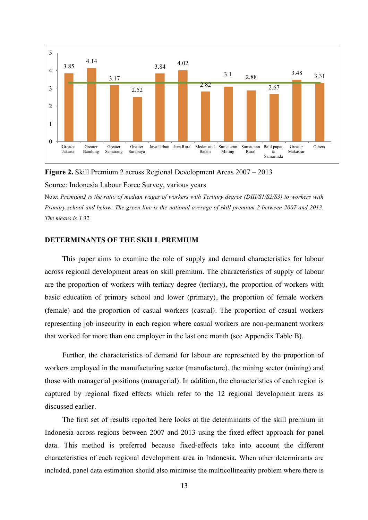

**Figure 2.** Skill Premium 2 across Regional Development Areas 2007 – 2013

Source: Indonesia Labour Force Survey, various years

Note: *Premium2 is the ratio of median wages of workers with Tertiary degree (DIII/S1/S2/S3) to workers with Primary school and below. The green line is the national average of skill premium 2 between 2007 and 2013. The means is 3.32.*

### **DETERMINANTS OF THE SKILL PREMIUM**

This paper aims to examine the role of supply and demand characteristics for labour across regional development areas on skill premium. The characteristics of supply of labour are the proportion of workers with tertiary degree (tertiary), the proportion of workers with basic education of primary school and lower (primary), the proportion of female workers (female) and the proportion of casual workers (casual). The proportion of casual workers representing job insecurity in each region where casual workers are non-permanent workers that worked for more than one employer in the last one month (see Appendix Table B).

Further, the characteristics of demand for labour are represented by the proportion of workers employed in the manufacturing sector (manufacture), the mining sector (mining) and those with managerial positions (managerial). In addition, the characteristics of each region is captured by regional fixed effects which refer to the 12 regional development areas as discussed earlier.

The first set of results reported here looks at the determinants of the skill premium in Indonesia across regions between 2007 and 2013 using the fixed-effect approach for panel data. This method is preferred because fixed-effects take into account the different characteristics of each regional development area in Indonesia. When other determinants are included, panel data estimation should also minimise the multicollinearity problem where there is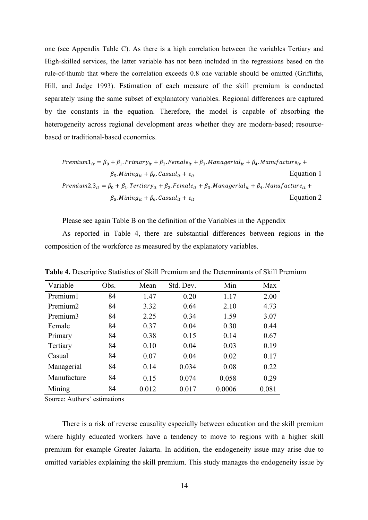one (see Appendix Table C). As there is a high correlation between the variables Tertiary and High-skilled services, the latter variable has not been included in the regressions based on the rule-of-thumb that where the correlation exceeds 0.8 one variable should be omitted (Griffiths, Hill, and Judge 1993). Estimation of each measure of the skill premium is conducted separately using the same subset of explanatory variables. Regional differences are captured by the constants in the equation. Therefore, the model is capable of absorbing the heterogeneity across regional development areas whether they are modern-based; resourcebased or traditional-based economies.

$$
Premium1_{it} = \beta_0 + \beta_1. Primary_{it} + \beta_2. Female_{it} + \beta_3. Management_{it} + \beta_4. Manuel acture_{it} +
$$
\n
$$
\beta_5. Mining_{it} + \beta_6. Casual_{it} + \varepsilon_{it}
$$
\n
$$
Premium2,3_{it} = \beta_0 + \beta_1. Tertiary_{it} + \beta_2. Female_{it} + \beta_3. Management_{it} + \beta_4. Manual facture_{it} +
$$
\n
$$
\beta_5. Mining_{it} + \beta_6. Casual_{it} + \varepsilon_{it}
$$
\nEquation 2

Please see again Table B on the definition of the Variables in the Appendix

As reported in Table 4, there are substantial differences between regions in the composition of the workforce as measured by the explanatory variables.

| Variable             | Obs. | Mean  | Std. Dev. | Min    | Max   |
|----------------------|------|-------|-----------|--------|-------|
| Premium <sub>1</sub> | 84   | 1.47  | 0.20      | 1.17   | 2.00  |
| Premium <sub>2</sub> | 84   | 3.32  | 0.64      | 2.10   | 4.73  |
| Premium3             | 84   | 2.25  | 0.34      | 1.59   | 3.07  |
| Female               | 84   | 0.37  | 0.04      | 0.30   | 0.44  |
| Primary              | 84   | 0.38  | 0.15      | 0.14   | 0.67  |
| Tertiary             | 84   | 0.10  | 0.04      | 0.03   | 0.19  |
| Casual               | 84   | 0.07  | 0.04      | 0.02   | 0.17  |
| Managerial           | 84   | 0.14  | 0.034     | 0.08   | 0.22  |
| Manufacture          | 84   | 0.15  | 0.074     | 0.058  | 0.29  |
| Mining               | 84   | 0.012 | 0.017     | 0.0006 | 0.081 |

**Table 4.** Descriptive Statistics of Skill Premium and the Determinants of Skill Premium

Source: Authors' estimations

There is a risk of reverse causality especially between education and the skill premium where highly educated workers have a tendency to move to regions with a higher skill premium for example Greater Jakarta. In addition, the endogeneity issue may arise due to omitted variables explaining the skill premium. This study manages the endogeneity issue by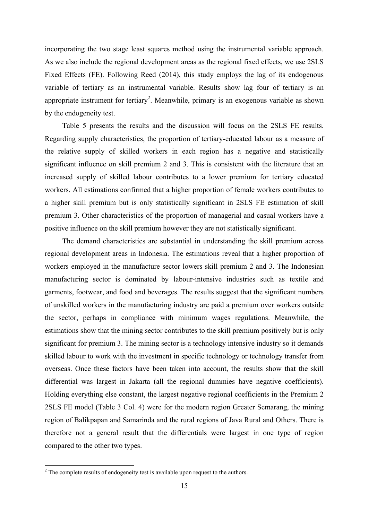incorporating the two stage least squares method using the instrumental variable approach. As we also include the regional development areas as the regional fixed effects, we use 2SLS Fixed Effects (FE). Following Reed (2014), this study employs the lag of its endogenous variable of tertiary as an instrumental variable. Results show lag four of tertiary is an appropriate instrument for tertiary<sup>2</sup>. Meanwhile, primary is an exogenous variable as shown by the endogeneity test.

Table 5 presents the results and the discussion will focus on the 2SLS FE results. Regarding supply characteristics, the proportion of tertiary-educated labour as a measure of the relative supply of skilled workers in each region has a negative and statistically significant influence on skill premium 2 and 3. This is consistent with the literature that an increased supply of skilled labour contributes to a lower premium for tertiary educated workers. All estimations confirmed that a higher proportion of female workers contributes to a higher skill premium but is only statistically significant in 2SLS FE estimation of skill premium 3. Other characteristics of the proportion of managerial and casual workers have a positive influence on the skill premium however they are not statistically significant.

The demand characteristics are substantial in understanding the skill premium across regional development areas in Indonesia. The estimations reveal that a higher proportion of workers employed in the manufacture sector lowers skill premium 2 and 3. The Indonesian manufacturing sector is dominated by labour-intensive industries such as textile and garments, footwear, and food and beverages. The results suggest that the significant numbers of unskilled workers in the manufacturing industry are paid a premium over workers outside the sector, perhaps in compliance with minimum wages regulations. Meanwhile, the estimations show that the mining sector contributes to the skill premium positively but is only significant for premium 3. The mining sector is a technology intensive industry so it demands skilled labour to work with the investment in specific technology or technology transfer from overseas. Once these factors have been taken into account, the results show that the skill differential was largest in Jakarta (all the regional dummies have negative coefficients). Holding everything else constant, the largest negative regional coefficients in the Premium 2 2SLS FE model (Table 3 Col. 4) were for the modern region Greater Semarang, the mining region of Balikpapan and Samarinda and the rural regions of Java Rural and Others. There is therefore not a general result that the differentials were largest in one type of region compared to the other two types.

<sup>&</sup>lt;sup>2</sup> The complete results of endogeneity test is available upon request to the authors.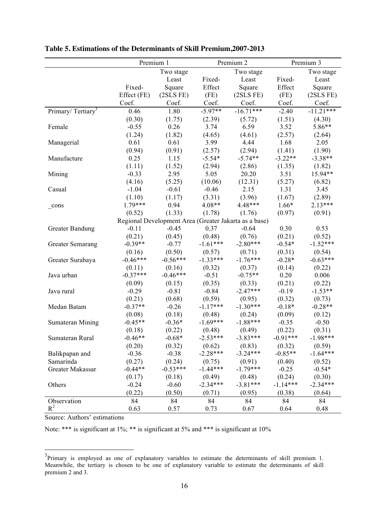|                               | Premium 1   |            |            | Premium 2                                             |            | Premium 3   |
|-------------------------------|-------------|------------|------------|-------------------------------------------------------|------------|-------------|
|                               |             | Two stage  |            | Two stage                                             |            | Two stage   |
|                               |             | Least      | Fixed-     | Least                                                 | Fixed-     | Least       |
|                               | Fixed-      | Square     | Effect     | Square                                                | Effect     | Square      |
|                               | Effect (FE) | (2SLS FE)  | (FE)       | (2SLS FE)                                             | (FE)       | (2SLS FE)   |
|                               | Coef.       | Coef.      | Coef.      | Coef.                                                 | Coef.      | Coef.       |
| Primary/Tertiary <sup>3</sup> | 0.46        | 1.80       | $-5.97**$  | $-16.71***$                                           | $-2.40$    | $-11.21***$ |
|                               | (0.30)      | (1.75)     | (2.39)     | (5.72)                                                | (1.51)     | (4.30)      |
| Female                        | $-0.55$     | 0.26       | 3.74       | 6.59                                                  | 3.52       | 5.86**      |
|                               | (1.24)      | (1.82)     | (4.65)     | (4.61)                                                | (2.57)     | (2.64)      |
| Managerial                    | 0.61        | 0.61       | 3.99       | 4.44                                                  | 1.68       | 2.05        |
|                               | (0.94)      | (0.91)     | (2.57)     | (2.94)                                                | (1.41)     | (1.90)      |
| Manufacture                   | 0.25        | 1.15       | $-5.54*$   | $-5.74**$                                             | $-3.22**$  | $-3.38**$   |
|                               | (1.11)      | (1.52)     | (2.94)     | (2.86)                                                | (1.35)     | (1.82)      |
| Mining                        | $-0.33$     | 2.95       | 5.05       | 20.20                                                 | 3.51       | 15.94**     |
|                               | (4.16)      | (5.25)     | (10.06)    | (12.31)                                               | (5.27)     | (6.82)      |
| Casual                        | $-1.04$     | $-0.61$    | $-0.46$    | 2.15                                                  | 1.31       | 3.45        |
|                               | (1.10)      | (1.17)     | (3.31)     | (3.96)                                                | (1.67)     | (2.89)      |
| cons                          | $1.79***$   | 0.94       | 4.08**     | 4.48***                                               | $1.66*$    | $2.13***$   |
|                               | (0.52)      | (1.33)     | (1.78)     | (1.76)                                                | (0.97)     | (0.91)      |
|                               |             |            |            | Regional Development Area (Greater Jakarta as a base) |            |             |
| <b>Greater Bandung</b>        | $-0.11$     | $-0.45$    | 0.37       | $-0.64$                                               | 0.30       | 0.53        |
|                               | (0.21)      | (0.45)     | (0.48)     | (0.76)                                                | (0.21)     | (0.52)      |
| <b>Greater Semarang</b>       | $-0.39**$   | $-0.77$    | $-1.61***$ | $-2.80***$                                            | $-0.54*$   | $-1.52***$  |
|                               | (0.16)      | (0.50)     | (0.57)     | (0.71)                                                | (0.31)     | (0.54)      |
| Greater Surabaya              | $-0.46***$  | $-0.56***$ | $-1.33***$ | $-1.76***$                                            | $-0.28*$   | $-0.63***$  |
|                               | (0.11)      | (0.16)     | (0.32)     | (0.37)                                                | (0.14)     | (0.22)      |
| Java urban                    | $-0.37***$  | $-0.46***$ | $-0.51$    | $-0.75**$                                             | 0.20       | 0.006       |
|                               | (0.09)      | (0.15)     | (0.35)     | (0.33)                                                | (0.21)     | (0.22)      |
| Java rural                    | $-0.29$     | $-0.81$    | $-0.84$    | $-2.47***$                                            | $-0.19$    | $-1.53**$   |
|                               | (0.21)      | (0.68)     | (0.59)     | (0.95)                                                | (0.32)     | (0.73)      |
| Medan Batam                   | $-0.37**$   | $-0.26$    | $-1.17***$ | $-1.30***$                                            | $-0.18*$   | $-0.28**$   |
|                               | (0.08)      | (0.18)     | (0.48)     | (0.24)                                                | (0.09)     | (0.12)      |
| Sumateran Mining              | $-0.45**$   | $-0.36*$   | $-1.69***$ | $-1.88***$                                            | $-0.35$    | $-0.50$     |
|                               | (0.18)      | (0.22)     | (0.48)     | (0.49)                                                | (0.22)     | (0.31)      |
| Sumateran Rural               | $-0.46**$   | $-0.68*$   | $-2.53***$ | $-3.83***$                                            | $-0.91***$ | $-1.98***$  |
|                               | (0.20)      | (0.32)     | (0.62)     | (0.83)                                                | (0.32)     | (0.59)      |
| Balikpapan and                | $-0.36$     | $-0.38$    | $-2.28***$ | $-3.24***$                                            | $-0.85**$  | $-1.64***$  |
| Samarinda                     | (0.27)      | (0.24)     | (0.75)     | (0.91)                                                | (0.40)     | (0.52)      |
| Greater Makassar              | $-0.44**$   | $-0.53***$ | $-1.44***$ | $-1.79***$                                            | $-0.25$    | $-0.54*$    |
|                               | (0.17)      | (0.18)     | (0.49)     | (0.48)                                                | (0.24)     | (0.30)      |
| Others                        | $-0.24$     | $-0.60$    | $-2.34***$ | $-3.81***$                                            | $-1.14***$ | $-2.34***$  |
|                               | (0.22)      | (0.50)     | (0.71)     | (0.95)                                                | (0.38)     | (0.64)      |
| Observation                   | 84          | 84         | 84         | 84                                                    | 84         | 84          |
| $R^2$                         | 0.63        | 0.57       | 0.73       | 0.67                                                  | 0.64       | 0.48        |

**Table 5. Estimations of the Determinants of Skill Premium,2007-2013**

Source: Authors' estimations

Note: \*\*\* is significant at 1%; \*\* is significant at 5% and \*\*\* is significant at 10%

<sup>&</sup>lt;sup>3</sup>Primary is employed as one of explanatory variables to estimate the determinants of skill premium 1. Meanwhile, the tertiary is chosen to be one of explanatory variable to estimate the determinants of skill premium 2 and 3.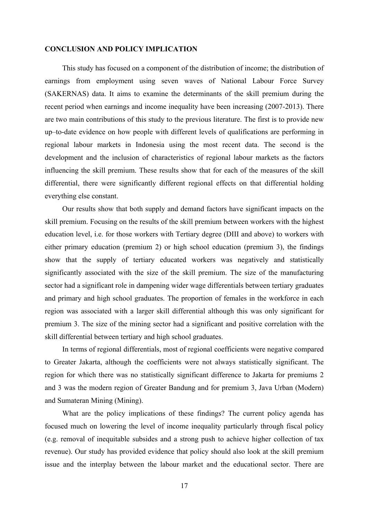### **CONCLUSION AND POLICY IMPLICATION**

This study has focused on a component of the distribution of income; the distribution of earnings from employment using seven waves of National Labour Force Survey (SAKERNAS) data. It aims to examine the determinants of the skill premium during the recent period when earnings and income inequality have been increasing (2007-2013). There are two main contributions of this study to the previous literature. The first is to provide new up–to-date evidence on how people with different levels of qualifications are performing in regional labour markets in Indonesia using the most recent data. The second is the development and the inclusion of characteristics of regional labour markets as the factors influencing the skill premium. These results show that for each of the measures of the skill differential, there were significantly different regional effects on that differential holding everything else constant.

Our results show that both supply and demand factors have significant impacts on the skill premium. Focusing on the results of the skill premium between workers with the highest education level, i.e. for those workers with Tertiary degree (DIII and above) to workers with either primary education (premium 2) or high school education (premium 3), the findings show that the supply of tertiary educated workers was negatively and statistically significantly associated with the size of the skill premium. The size of the manufacturing sector had a significant role in dampening wider wage differentials between tertiary graduates and primary and high school graduates. The proportion of females in the workforce in each region was associated with a larger skill differential although this was only significant for premium 3. The size of the mining sector had a significant and positive correlation with the skill differential between tertiary and high school graduates.

In terms of regional differentials, most of regional coefficients were negative compared to Greater Jakarta, although the coefficients were not always statistically significant. The region for which there was no statistically significant difference to Jakarta for premiums 2 and 3 was the modern region of Greater Bandung and for premium 3, Java Urban (Modern) and Sumateran Mining (Mining).

What are the policy implications of these findings? The current policy agenda has focused much on lowering the level of income inequality particularly through fiscal policy (e.g. removal of inequitable subsides and a strong push to achieve higher collection of tax revenue). Our study has provided evidence that policy should also look at the skill premium issue and the interplay between the labour market and the educational sector. There are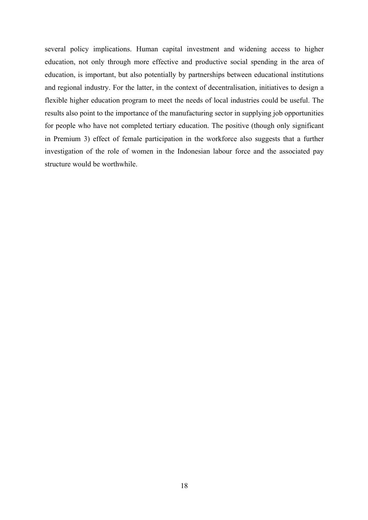several policy implications. Human capital investment and widening access to higher education, not only through more effective and productive social spending in the area of education, is important, but also potentially by partnerships between educational institutions and regional industry. For the latter, in the context of decentralisation, initiatives to design a flexible higher education program to meet the needs of local industries could be useful. The results also point to the importance of the manufacturing sector in supplying job opportunities for people who have not completed tertiary education. The positive (though only significant in Premium 3) effect of female participation in the workforce also suggests that a further investigation of the role of women in the Indonesian labour force and the associated pay structure would be worthwhile.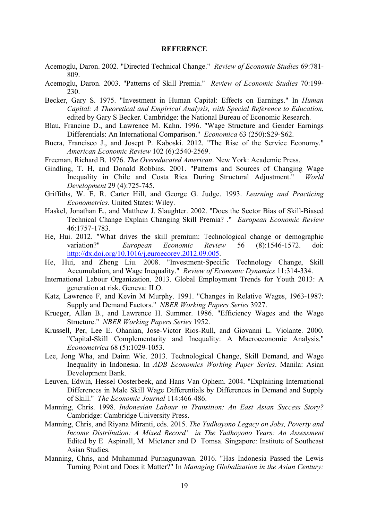#### **REFERENCE**

- Acemoglu, Daron. 2002. "Directed Technical Change." *Review of Economic Studies* 69:781- 809.
- Acemoglu, Daron. 2003. "Patterns of Skill Premia." *Review of Economic Studies* 70:199- 230.
- Becker, Gary S. 1975. "Investment in Human Capital: Effects on Earnings." In *Human Capital: A Theoretical and Empirical Analysis, with Special Reference to Education*, edited by Gary S Becker. Cambridge: the National Bureau of Economic Research.
- Blau, Francine D., and Lawrence M. Kahn. 1996. "Wage Structure and Gender Earnings Differentials: An International Comparison." *Economica* 63 (250):S29-S62.
- Buera, Francisco J., and Josept P. Kaboski. 2012. "The Rise of the Service Economy." *American Economic Review* 102 (6):2540-2569.
- Freeman, Richard B. 1976. *The Overeducated American*. New York: Academic Press.
- Gindling, T. H, and Donald Robbins. 2001. "Patterns and Sources of Changing Wage Inequality in Chile and Costa Rica During Structural Adjustment." *World Development* 29 (4):725-745.
- Griffiths, W. E, R. Carter Hill, and George G. Judge. 1993. *Learning and Practicing Econometrics*. United States: Wiley.
- Haskel, Jonathan E., and Matthew J. Slaughter. 2002. "Does the Sector Bias of Skill-Biased Technical Change Explain Changing Skill Premia? ." *European Economic Review* 46:1757-1783.
- He, Hui. 2012. "What drives the skill premium: Technological change or demographic variation?" *European Economic Review* 56 (8):1546-1572. doi: http://dx.doi.org/10.1016/j.euroecorev.2012.09.005.
- He, Hui, and Zheng Liu. 2008. "Investment-Specific Technology Change, Skill Accumulation, and Wage Inequality." *Review of Economic Dynamics* 11:314-334.
- International Labour Organization. 2013. Global Employment Trends for Youth 2013: A generation at risk. Geneva: ILO.
- Katz, Lawrence F, and Kevin M Murphy. 1991. "Changes in Relative Wages, 1963-1987: Supply and Demand Factors." *NBER Working Papers Series* 3927.
- Krueger, Allan B., and Lawrence H. Summer. 1986. "Efficiency Wages and the Wage Structure." *NBER Working Papers Series* 1952.
- Krussell, Per, Lee E. Ohanian, Jose-Victor Rios-Rull, and Giovanni L. Violante. 2000. "Capital-Skill Complementarity and Inequality: A Macroeconomic Analysis." *Econometrica* 68 (5):1029-1053.
- Lee, Jong Wha, and Dainn Wie. 2013. Technological Change, Skill Demand, and Wage Inequality in Indonesia. In *ADB Economics Working Paper Series*. Manila: Asian Development Bank.
- Leuven, Edwin, Hessel Oosterbeek, and Hans Van Ophem. 2004. "Explaining International Differences in Male Skill Wage Differentials by Differences in Demand and Supply of Skill." *The Economic Journal* 114:466-486.
- Manning, Chris. 1998. *Indonesian Labour in Transition: An East Asian Success Story?* Cambridge: Cambridge University Press.
- Manning, Chris, and Riyana Miranti, eds. 2015. *The Yudhoyono Legacy on Jobs, Poverty and Income Distribution: A Mixed Record' in The Yudhoyono Years: An Assessment*  Edited by E Aspinall, M Mietzner and D Tomsa. Singapore: Institute of Southeast Asian Studies.
- Manning, Chris, and Muhammad Purnagunawan. 2016. "Has Indonesia Passed the Lewis Turning Point and Does it Matter?" In *Managing Globalization in the Asian Century:*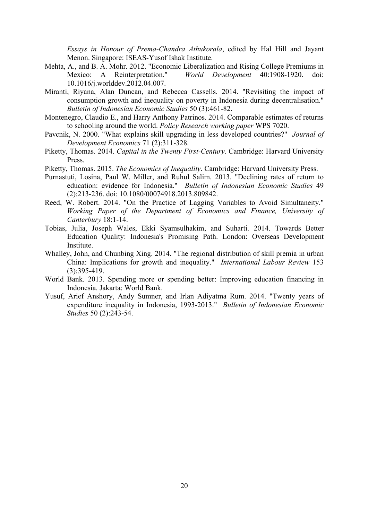*Essays in Honour of Prema-Chandra Athukorala*, edited by Hal Hill and Jayant Menon. Singapore: ISEAS-Yusof Ishak Institute.

- Mehta, A., and B. A. Mohr. 2012. "Economic Liberalization and Rising College Premiums in Mexico: A Reinterpretation." *World Development* 40:1908-1920. doi: 10.1016/j.worlddev.2012.04.007.
- Miranti, Riyana, Alan Duncan, and Rebecca Cassells. 2014. "Revisiting the impact of consumption growth and inequality on poverty in Indonesia during decentralisation." *Bulletin of Indonesian Economic Studies* 50 (3):461-82.
- Montenegro, Claudio E., and Harry Anthony Patrinos. 2014. Comparable estimates of returns to schooling around the world. *Policy Research working paper* WPS 7020.
- Pavcnik, N. 2000. "What explains skill upgrading in less developed countries?" *Journal of Development Economics* 71 (2):311-328.
- Piketty, Thomas. 2014. *Capital in the Twenty First-Century*. Cambridge: Harvard University Press.
- Piketty, Thomas. 2015. *The Economics of Inequality*. Cambridge: Harvard University Press.
- Purnastuti, Losina, Paul W. Miller, and Ruhul Salim. 2013. "Declining rates of return to education: evidence for Indonesia." *Bulletin of Indonesian Economic Studies* 49 (2):213-236. doi: 10.1080/00074918.2013.809842.
- Reed, W. Robert. 2014. "On the Practice of Lagging Variables to Avoid Simultaneity." *Working Paper of the Department of Economics and Finance, University of Canterbury* 18:1-14.
- Tobias, Julia, Joseph Wales, Ekki Syamsulhakim, and Suharti. 2014. Towards Better Education Quality: Indonesia's Promising Path. London: Overseas Development Institute.
- Whalley, John, and Chunbing Xing. 2014. "The regional distribution of skill premia in urban China: Implications for growth and inequality." *International Labour Review* 153 (3):395-419.
- World Bank. 2013. Spending more or spending better: Improving education financing in Indonesia. Jakarta: World Bank.
- Yusuf, Arief Anshory, Andy Sumner, and Irlan Adiyatma Rum. 2014. "Twenty years of expenditure inequality in Indonesia, 1993-2013." *Bulletin of Indonesian Economic Studies* 50 (2):243-54.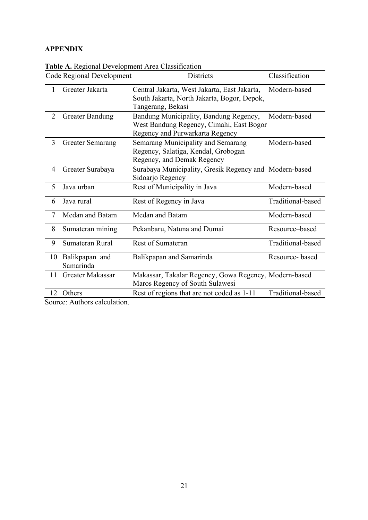## **APPENDIX**

|                | <b>Code Regional Development</b> | <b>Districts</b>                                                                                                      | Classification    |
|----------------|----------------------------------|-----------------------------------------------------------------------------------------------------------------------|-------------------|
| 1              | Greater Jakarta                  | Central Jakarta, West Jakarta, East Jakarta,<br>South Jakarta, North Jakarta, Bogor, Depok,<br>Tangerang, Bekasi      | Modern-based      |
| $\overline{2}$ | <b>Greater Bandung</b>           | Bandung Municipality, Bandung Regency,<br>West Bandung Regency, Cimahi, East Bogor<br>Regency and Purwarkarta Regency | Modern-based      |
| 3              | <b>Greater Semarang</b>          | Semarang Municipality and Semarang<br>Regency, Salatiga, Kendal, Grobogan<br>Regency, and Demak Regency               | Modern-based      |
| 4              | Greater Surabaya                 | Surabaya Municipality, Gresik Regency and Modern-based<br>Sidoarjo Regency                                            |                   |
| 5              | Java urban                       | Rest of Municipality in Java                                                                                          | Modern-based      |
| 6              | Java rural                       | Rest of Regency in Java                                                                                               | Traditional-based |
| $\overline{7}$ | Medan and Batam                  | Medan and Batam                                                                                                       | Modern-based      |
| 8              | Sumateran mining                 | Pekanbaru, Natuna and Dumai                                                                                           | Resource-based    |
| 9              | Sumateran Rural                  | Rest of Sumateran                                                                                                     | Traditional-based |
| 10             | Balikpapan and<br>Samarinda      | Balikpapan and Samarinda                                                                                              | Resource-based    |
| 11             | Greater Makassar                 | Makassar, Takalar Regency, Gowa Regency, Modern-based<br>Maros Regency of South Sulawesi                              |                   |
| 12             | Others                           | Rest of regions that are not coded as 1-11                                                                            | Traditional-based |

**Table A.** Regional Development Area Classification

Source: Authors calculation.